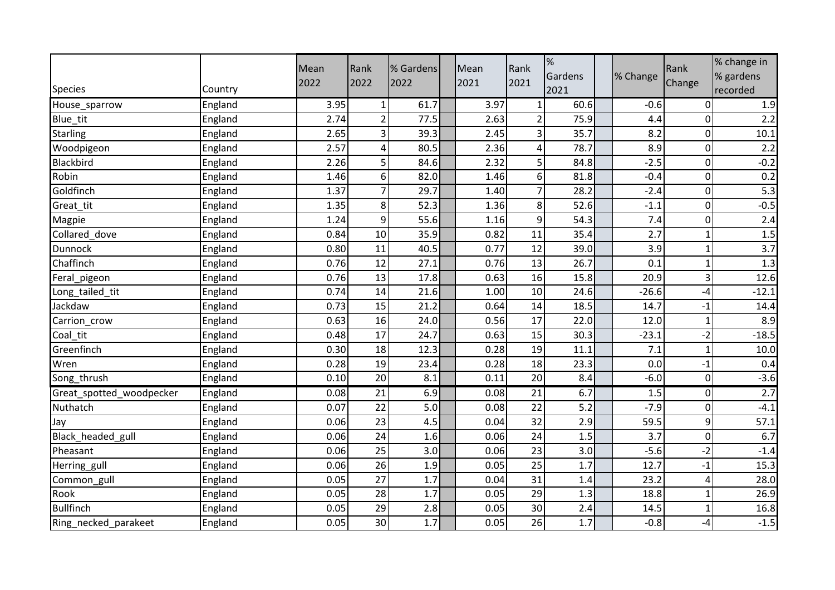| <b>Species</b>           | Country | Mean<br>2022 | Rank<br>2022    | % Gardens<br>2022 | Mean<br>2021 | Rank<br>2021   | %<br>Gardens<br>2021 | % Change | Rank<br>Change | % change in<br>% gardens<br>recorded |
|--------------------------|---------|--------------|-----------------|-------------------|--------------|----------------|----------------------|----------|----------------|--------------------------------------|
| House_sparrow            | England | 3.95         | $\mathbf{1}$    | 61.7              | 3.97         | $\mathbf{1}$   | 60.6                 | $-0.6$   | $\overline{0}$ | 1.9                                  |
| Blue_tit                 | England | 2.74         | $\overline{2}$  | 77.5              | 2.63         | $\overline{2}$ | 75.9                 | 4.4      | $\overline{0}$ | 2.2                                  |
| <b>Starling</b>          | England | 2.65         | 3               | 39.3              | 2.45         | 3              | 35.7                 | 8.2      | $\overline{0}$ | 10.1                                 |
| Woodpigeon               | England | 2.57         | 4               | 80.5              | 2.36         | 4              | 78.7                 | 8.9      | $\overline{0}$ | 2.2                                  |
| <b>Blackbird</b>         | England | 2.26         | 5               | 84.6              | 2.32         | 5              | 84.8                 | $-2.5$   | $\overline{0}$ | $-0.2$                               |
| Robin                    | England | 1.46         | 6               | 82.0              | 1.46         | 6 <sup>1</sup> | 81.8                 | $-0.4$   | $\overline{0}$ | 0.2                                  |
| Goldfinch                | England | 1.37         | $\overline{7}$  | 29.7              | 1.40         | $\overline{7}$ | 28.2                 | $-2.4$   | $\overline{0}$ | $\overline{5.3}$                     |
| Great_tit                | England | 1.35         | 8               | 52.3              | 1.36         | 8 <sup>1</sup> | 52.6                 | $-1.1$   | $\overline{0}$ | $-0.5$                               |
| Magpie                   | England | 1.24         | 9               | 55.6              | 1.16         | 9              | 54.3                 | 7.4      | $\overline{0}$ | 2.4                                  |
| Collared_dove            | England | 0.84         | 10              | 35.9              | 0.82         | 11             | 35.4                 | 2.7      | $\mathbf{1}$   | 1.5                                  |
| <b>Dunnock</b>           | England | 0.80         | 11              | 40.5              | 0.77         | 12             | 39.0                 | 3.9      | $\mathbf{1}$   | $\overline{3.7}$                     |
| Chaffinch                | England | 0.76         | 12              | 27.1              | 0.76         | 13             | 26.7                 | 0.1      | $\mathbf 1$    | 1.3                                  |
| Feral_pigeon             | England | 0.76         | 13              | 17.8              | 0.63         | 16             | 15.8                 | 20.9     | 3              | 12.6                                 |
| Long_tailed_tit          | England | 0.74         | 14              | 21.6              | 1.00         | 10             | 24.6                 | $-26.6$  | -4             | $-12.1$                              |
| Jackdaw                  | England | 0.73         | 15              | 21.2              | 0.64         | 14             | 18.5                 | 14.7     | $-1$           | 14.4                                 |
| Carrion_crow             | England | 0.63         | 16              | 24.0              | 0.56         | 17             | 22.0                 | 12.0     | $\mathbf 1$    | 8.9                                  |
| Coal_tit                 | England | 0.48         | 17              | 24.7              | 0.63         | 15             | 30.3                 | $-23.1$  | $-2$           | $-18.5$                              |
| Greenfinch               | England | 0.30         | 18              | 12.3              | 0.28         | 19             | 11.1                 | 7.1      | $\mathbf{1}$   | 10.0                                 |
| Wren                     | England | 0.28         | 19              | 23.4              | 0.28         | 18             | 23.3                 | 0.0      | $-1$           | 0.4                                  |
| Song_thrush              | England | 0.10         | 20              | 8.1               | 0.11         | 20             | 8.4                  | $-6.0$   | $\overline{0}$ | $-3.6$                               |
| Great_spotted_woodpecker | England | 0.08         | $\overline{21}$ | 6.9               | 0.08         | 21             | 6.7                  | 1.5      | $\overline{0}$ | 2.7                                  |
| Nuthatch                 | England | 0.07         | 22              | 5.0               | 0.08         | 22             | 5.2                  | $-7.9$   | $\overline{0}$ | $-4.1$                               |
| Jay                      | England | 0.06         | 23              | 4.5               | 0.04         | 32             | 2.9                  | 59.5     | $\overline{9}$ | 57.1                                 |
| Black_headed_gull        | England | 0.06         | 24              | 1.6               | 0.06         | 24             | 1.5                  | 3.7      | $\overline{0}$ | 6.7                                  |
| Pheasant                 | England | 0.06         | 25              | 3.0               | 0.06         | 23             | 3.0                  | $-5.6$   | $-2$           | $-1.4$                               |
| Herring_gull             | England | 0.06         | 26              | 1.9               | 0.05         | 25             | 1.7                  | 12.7     | $-1$           | 15.3                                 |
| Common_gull              | England | 0.05         | 27              | 1.7               | 0.04         | 31             | 1.4                  | 23.2     | 4              | 28.0                                 |
| Rook                     | England | 0.05         | 28              | 1.7               | 0.05         | 29             | 1.3                  | 18.8     | $\mathbf{1}$   | 26.9                                 |
| <b>Bullfinch</b>         | England | 0.05         | 29              | 2.8               | 0.05         | 30             | 2.4                  | 14.5     | $\mathbf 1$    | 16.8                                 |
| Ring_necked_parakeet     | England | 0.05         | 30              | 1.7               | 0.05         | 26             | 1.7                  | $-0.8$   | -4             | $-1.5$                               |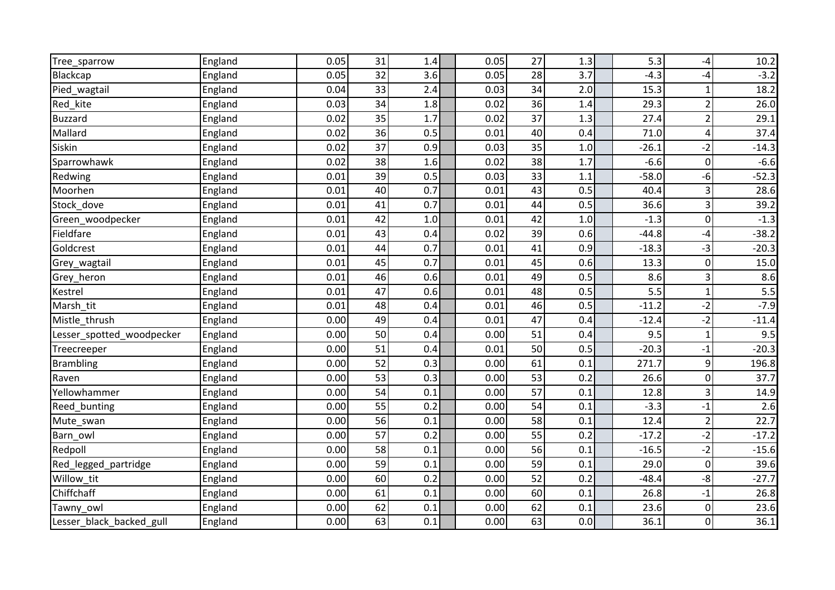| Tree_sparrow              | England | 0.05 | 31 | 1.4 | 0.05 | 27 | 1.3   | 5.3     | $-4$           | 10.2    |
|---------------------------|---------|------|----|-----|------|----|-------|---------|----------------|---------|
| Blackcap                  | England | 0.05 | 32 | 3.6 | 0.05 | 28 | 3.7   | $-4.3$  | $-4$           | $-3.2$  |
| Pied_wagtail              | England | 0.04 | 33 | 2.4 | 0.03 | 34 | 2.0   | 15.3    | $\mathbf{1}$   | 18.2    |
| Red_kite                  | England | 0.03 | 34 | 1.8 | 0.02 | 36 | 1.4   | 29.3    | $\overline{c}$ | 26.0    |
| <b>Buzzard</b>            | England | 0.02 | 35 | 1.7 | 0.02 | 37 | 1.3   | 27.4    | $\overline{2}$ | 29.1    |
| Mallard                   | England | 0.02 | 36 | 0.5 | 0.01 | 40 | 0.4   | 71.0    | 4              | 37.4    |
| Siskin                    | England | 0.02 | 37 | 0.9 | 0.03 | 35 | $1.0$ | $-26.1$ | $-2$           | $-14.3$ |
| Sparrowhawk               | England | 0.02 | 38 | 1.6 | 0.02 | 38 | 1.7   | $-6.6$  | $\overline{0}$ | $-6.6$  |
| Redwing                   | England | 0.01 | 39 | 0.5 | 0.03 | 33 | 1.1   | $-58.0$ | -6             | $-52.3$ |
| Moorhen                   | England | 0.01 | 40 | 0.7 | 0.01 | 43 | 0.5   | 40.4    | 3              | 28.6    |
| Stock dove                | England | 0.01 | 41 | 0.7 | 0.01 | 44 | 0.5   | 36.6    | $\mathsf{3}$   | 39.2    |
| Green woodpecker          | England | 0.01 | 42 | 1.0 | 0.01 | 42 | 1.0   | $-1.3$  | $\overline{0}$ | $-1.3$  |
| Fieldfare                 | England | 0.01 | 43 | 0.4 | 0.02 | 39 | 0.6   | $-44.8$ | $-4$           | $-38.2$ |
| Goldcrest                 | England | 0.01 | 44 | 0.7 | 0.01 | 41 | 0.9   | $-18.3$ | $-3$           | $-20.3$ |
| Grey_wagtail              | England | 0.01 | 45 | 0.7 | 0.01 | 45 | 0.6   | 13.3    | $\overline{0}$ | 15.0    |
| Grey_heron                | England | 0.01 | 46 | 0.6 | 0.01 | 49 | 0.5   | 8.6     | 3              | 8.6     |
| Kestrel                   | England | 0.01 | 47 | 0.6 | 0.01 | 48 | 0.5   | 5.5     | $\mathbf{1}$   | 5.5     |
| Marsh tit                 | England | 0.01 | 48 | 0.4 | 0.01 | 46 | 0.5   | $-11.2$ | $-2$           | $-7.9$  |
| Mistle_thrush             | England | 0.00 | 49 | 0.4 | 0.01 | 47 | 0.4   | $-12.4$ | $-2$           | $-11.4$ |
| Lesser_spotted_woodpecker | England | 0.00 | 50 | 0.4 | 0.00 | 51 | 0.4   | 9.5     | $\mathbf{1}$   | 9.5     |
| Treecreeper               | England | 0.00 | 51 | 0.4 | 0.01 | 50 | 0.5   | $-20.3$ | $-1$           | $-20.3$ |
| <b>Brambling</b>          | England | 0.00 | 52 | 0.3 | 0.00 | 61 | 0.1   | 271.7   | $\mathsf{g}$   | 196.8   |
| Raven                     | England | 0.00 | 53 | 0.3 | 0.00 | 53 | 0.2   | 26.6    | $\overline{0}$ | 37.7    |
| Yellowhammer              | England | 0.00 | 54 | 0.1 | 0.00 | 57 | 0.1   | 12.8    | 3              | 14.9    |
| Reed bunting              | England | 0.00 | 55 | 0.2 | 0.00 | 54 | 0.1   | $-3.3$  | $-1$           | 2.6     |
| Mute_swan                 | England | 0.00 | 56 | 0.1 | 0.00 | 58 | 0.1   | 12.4    | $\overline{2}$ | 22.7    |
| Barn_owl                  | England | 0.00 | 57 | 0.2 | 0.00 | 55 | 0.2   | $-17.2$ | $-2$           | $-17.2$ |
| Redpoll                   | England | 0.00 | 58 | 0.1 | 0.00 | 56 | 0.1   | $-16.5$ | $-2$           | $-15.6$ |
| Red_legged_partridge      | England | 0.00 | 59 | 0.1 | 0.00 | 59 | 0.1   | 29.0    | $\overline{0}$ | 39.6    |
| Willow_tit                | England | 0.00 | 60 | 0.2 | 0.00 | 52 | 0.2   | $-48.4$ | $-8$           | $-27.7$ |
| Chiffchaff                | England | 0.00 | 61 | 0.1 | 0.00 | 60 | 0.1   | 26.8    | $-1$           | 26.8    |
| Tawny owl                 | England | 0.00 | 62 | 0.1 | 0.00 | 62 | 0.1   | 23.6    | $\overline{0}$ | 23.6    |
| Lesser_black_backed_gull  | England | 0.00 | 63 | 0.1 | 0.00 | 63 | 0.0   | 36.1    | $\overline{0}$ | 36.1    |